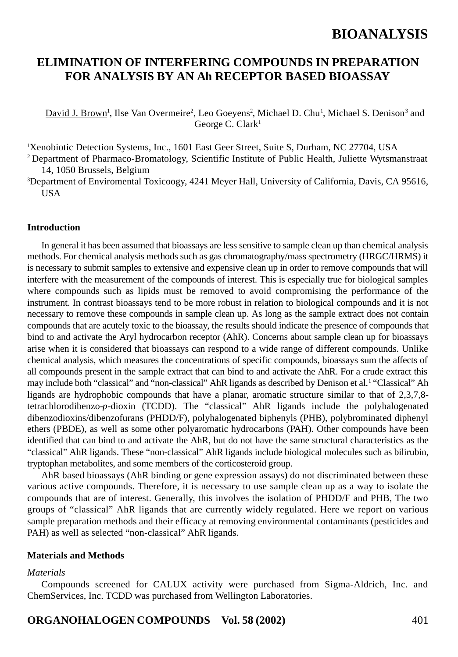## **ELIMINATION OF INTERFERING COMPOUNDS IN PREPARATION FOR ANALYSIS BY AN Ah RECEPTOR BASED BIOASSAY**

David J. Brown<sup>1</sup>, Ilse Van Overmeire<sup>2</sup>, Leo Goeyens<sup>2</sup>, Michael D. Chu<sup>1</sup>, Michael S. Denison<sup>3</sup> and George C. Clark1

1 Xenobiotic Detection Systems, Inc., 1601 East Geer Street, Suite S, Durham, NC 27704, USA 2 Department of Pharmaco-Bromatology, Scientific Institute of Public Health, Juliette Wytsmanstraat

14, 1050 Brussels, Belgium

3 Department of Enviromental Toxicoogy, 4241 Meyer Hall, University of California, Davis, CA 95616, **USA** 

#### **Introduction**

In general it has been assumed that bioassays are less sensitive to sample clean up than chemical analysis methods. For chemical analysis methods such as gas chromatography/mass spectrometry (HRGC/HRMS) it is necessary to submit samples to extensive and expensive clean up in order to remove compounds that will interfere with the measurement of the compounds of interest. This is especially true for biological samples where compounds such as lipids must be removed to avoid compromising the performance of the instrument. In contrast bioassays tend to be more robust in relation to biological compounds and it is not necessary to remove these compounds in sample clean up. As long as the sample extract does not contain compounds that are acutely toxic to the bioassay, the results should indicate the presence of compounds that bind to and activate the Aryl hydrocarbon receptor (AhR). Concerns about sample clean up for bioassays arise when it is considered that bioassays can respond to a wide range of different compounds. Unlike chemical analysis, which measures the concentrations of specific compounds, bioassays sum the affects of all compounds present in the sample extract that can bind to and activate the AhR. For a crude extract this may include both "classical" and "non-classical" AhR ligands as described by Denison et al.<sup>1</sup> "Classical" Ah ligands are hydrophobic compounds that have a planar, aromatic structure similar to that of 2,3,7,8 tetrachlorodibenzo-*p*-dioxin (TCDD). The "classical" AhR ligands include the polyhalogenated dibenzodioxins/dibenzofurans (PHDD/F), polyhalogenated biphenyls (PHB), polybrominated diphenyl ethers (PBDE), as well as some other polyaromatic hydrocarbons (PAH). Other compounds have been identified that can bind to and activate the AhR, but do not have the same structural characteristics as the "classical" AhR ligands. These "non-classical" AhR ligands include biological molecules such as bilirubin, tryptophan metabolites, and some members of the corticosteroid group.

AhR based bioassays (AhR binding or gene expression assays) do not discriminated between these various active compounds. Therefore, it is necessary to use sample clean up as a way to isolate the compounds that are of interest. Generally, this involves the isolation of PHDD/F and PHB, The two groups of "classical" AhR ligands that are currently widely regulated. Here we report on various sample preparation methods and their efficacy at removing environmental contaminants (pesticides and PAH) as well as selected "non-classical" AhR ligands.

#### **Materials and Methods**

#### *Materials*

Compounds screened for CALUX activity were purchased from Sigma-Aldrich, Inc. and ChemServices, Inc. TCDD was purchased from Wellington Laboratories.

### **ORGANOHALOGEN COMPOUNDS Vol. 58 (2002)** 401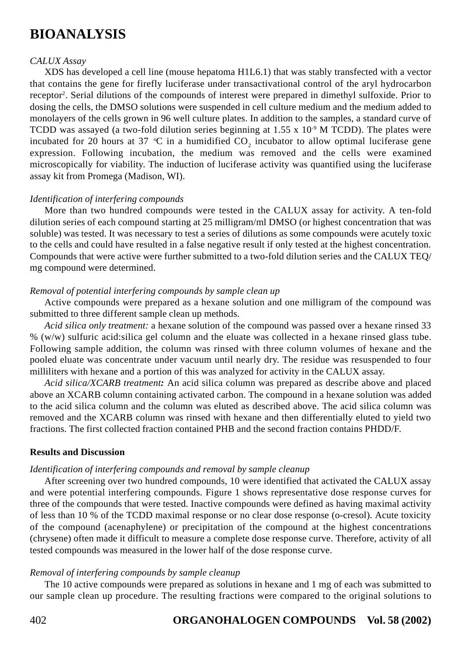#### *CALUX Assay*

XDS has developed a cell line (mouse hepatoma H1L6.1) that was stably transfected with a vector that contains the gene for firefly luciferase under transactivational control of the aryl hydrocarbon receptor<sup>2</sup>. Serial dilutions of the compounds of interest were prepared in dimethyl sulfoxide. Prior to dosing the cells, the DMSO solutions were suspended in cell culture medium and the medium added to monolayers of the cells grown in 96 well culture plates. In addition to the samples, a standard curve of TCDD was assayed (a two-fold dilution series beginning at 1.55 x  $10<sup>9</sup>$  M TCDD). The plates were incubated for 20 hours at 37 °C in a humidified  $CO_2$  incubator to allow optimal luciferase gene expression. Following incubation, the medium was removed and the cells were examined microscopically for viability. The induction of luciferase activity was quantified using the luciferase assay kit from Promega (Madison, WI).

#### *Identification of interfering compounds*

More than two hundred compounds were tested in the CALUX assay for activity. A ten-fold dilution series of each compound starting at 25 milligram/ml DMSO (or highest concentration that was soluble) was tested. It was necessary to test a series of dilutions as some compounds were acutely toxic to the cells and could have resulted in a false negative result if only tested at the highest concentration. Compounds that were active were further submitted to a two-fold dilution series and the CALUX TEQ/ mg compound were determined.

#### *Removal of potential interfering compounds by sample clean up*

Active compounds were prepared as a hexane solution and one milligram of the compound was submitted to three different sample clean up methods.

*Acid silica only treatment:* a hexane solution of the compound was passed over a hexane rinsed 33 % (w/w) sulfuric acid:silica gel column and the eluate was collected in a hexane rinsed glass tube. Following sample addition, the column was rinsed with three column volumes of hexane and the pooled eluate was concentrate under vacuum until nearly dry. The residue was resuspended to four milliliters with hexane and a portion of this was analyzed for activity in the CALUX assay.

*Acid silica/XCARB treatment:* An acid silica column was prepared as describe above and placed above an XCARB column containing activated carbon. The compound in a hexane solution was added to the acid silica column and the column was eluted as described above. The acid silica column was removed and the XCARB column was rinsed with hexane and then differentially eluted to yield two fractions. The first collected fraction contained PHB and the second fraction contains PHDD/F.

#### **Results and Discussion**

#### *Identification of interfering compounds and removal by sample cleanup*

After screening over two hundred compounds, 10 were identified that activated the CALUX assay and were potential interfering compounds. Figure 1 shows representative dose response curves for three of the compounds that were tested. Inactive compounds were defined as having maximal activity of less than 10 % of the TCDD maximal response or no clear dose response (o-cresol). Acute toxicity of the compound (acenaphylene) or precipitation of the compound at the highest concentrations (chrysene) often made it difficult to measure a complete dose response curve. Therefore, activity of all tested compounds was measured in the lower half of the dose response curve.

#### *Removal of interfering compounds by sample cleanup*

The 10 active compounds were prepared as solutions in hexane and 1 mg of each was submitted to our sample clean up procedure. The resulting fractions were compared to the original solutions to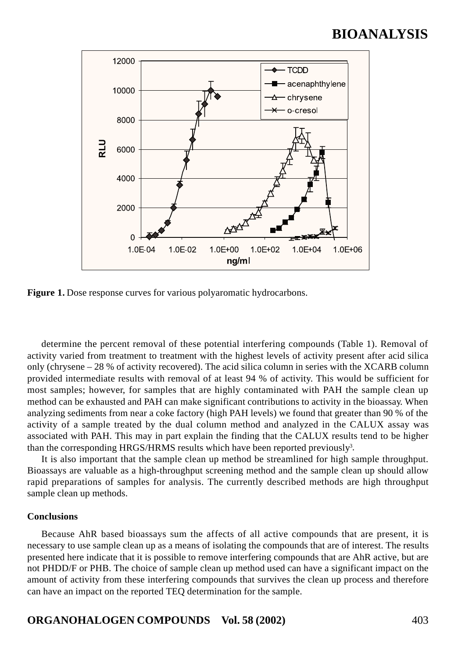

Figure 1. Dose response curves for various polyaromatic hydrocarbons.

determine the percent removal of these potential interfering compounds (Table 1). Removal of activity varied from treatment to treatment with the highest levels of activity present after acid silica only (chrysene – 28 % of activity recovered). The acid silica column in series with the XCARB column provided intermediate results with removal of at least 94 % of activity. This would be sufficient for most samples; however, for samples that are highly contaminated with PAH the sample clean up method can be exhausted and PAH can make significant contributions to activity in the bioassay. When analyzing sediments from near a coke factory (high PAH levels) we found that greater than 90 % of the activity of a sample treated by the dual column method and analyzed in the CALUX assay was associated with PAH. This may in part explain the finding that the CALUX results tend to be higher than the corresponding HRGS/HRMS results which have been reported previously<sup>3</sup>.

It is also important that the sample clean up method be streamlined for high sample throughput. Bioassays are valuable as a high-throughput screening method and the sample clean up should allow rapid preparations of samples for analysis. The currently described methods are high throughput sample clean up methods.

#### **Conclusions**

Because AhR based bioassays sum the affects of all active compounds that are present, it is necessary to use sample clean up as a means of isolating the compounds that are of interest. The results presented here indicate that it is possible to remove interfering compounds that are AhR active, but are not PHDD/F or PHB. The choice of sample clean up method used can have a significant impact on the amount of activity from these interfering compounds that survives the clean up process and therefore can have an impact on the reported TEQ determination for the sample.

### **ORGANOHALOGEN COMPOUNDS Vol. 58 (2002)** 403